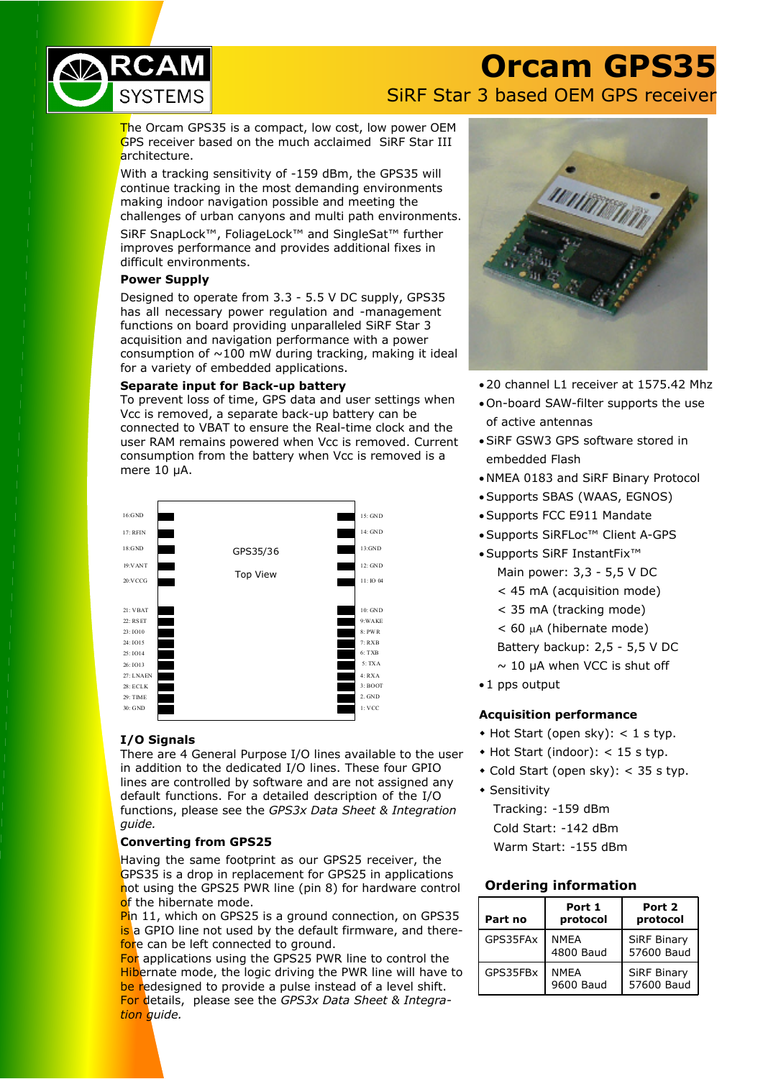

## **Orcam GPS35** SiRF Star 3 based OEM GPS receiver

The Orcam GPS35 is a compact, low cost, low power OEM GPS receiver based on the much acclaimed SiRF Star III architecture.

With a tracking sensitivity of -159 dBm, the GPS35 will continue tracking in the most demanding environments making indoor navigation possible and meeting the challenges of urban canyons and multi path environments.

SiRF SnapLock™, FoliageLock™ and SingleSat™ further improves performance and provides additional fixes in difficult environments.

## **Power Supply**

Designed to operate from 3.3 - 5.5 V DC supply, GPS35 has all necessary power regulation and -management functions on board providing unparalleled SiRF Star 3 acquisition and navigation performance with a power consumption of  $\sim$ 100 mW during tracking, making it ideal for a variety of embedded applications.

#### **Separate input for Back-up battery**

To prevent loss of time, GPS data and user settings when Vcc is removed, a separate back-up battery can be connected to VBAT to ensure the Real-time clock and the user RAM remains powered when Vcc is removed. Current consumption from the battery when Vcc is removed is a mere 10 µA.



## **I/O Signals**

There are 4 General Purpose I/O lines available to the user in addition to the dedicated I/O lines. These four GPIO lines are controlled by software and are not assigned any default functions. For a detailed description of the I/O functions, please see the *GPS3x Data Sheet & Integration guide.*

## **Converting from GPS25**

Having the same footprint as our GPS25 receiver, the GPS35 is a drop in replacement for GPS25 in applications not using the GPS25 PWR line (pin 8) for hardware control of the hibernate mode.

Pin 11, which on GPS25 is a ground connection, on GPS35 is a GPIO line not used by the default firmware, and therefore can be left connected to ground.

For applications using the GPS25 PWR line to control the Hibernate mode, the logic driving the PWR line will have to be redesigned to provide a pulse instead of a level shift. For details, please see the *GPS3x Data Sheet & Integration guide.*



- · 20 channel L1 receiver at 1575.42 Mhz
- · On-board SAW-filter supports the use of active antennas
- · SiRF GSW3 GPS software stored in embedded Flash
- · NMEA 0183 and SiRF Binary Protocol
- · Supports SBAS (WAAS, EGNOS)
- · Supports FCC E911 Mandate
- · Supports SiRFLoc™ Client A-GPS
- · Supports SiRF InstantFix™ Main power: 3,3 - 5,5 V DC
	- < 45 mA (acquisition mode)
	- < 35 mA (tracking mode)
	- $<$  60  $\mu$ A (hibernate mode)
	- Battery backup: 2,5 5,5 V DC
	- $\sim$  10 uA when VCC is shut off
- · 1 pps output

## **Acquisition performance**

- $\bullet$  Hot Start (open sky): < 1 s typ.
- $\triangle$  Hot Start (indoor): < 15 s typ.
- $\bullet$  Cold Start (open sky): < 35 s typ.
- $\bullet$  Sensitivity

Tracking: -159 dBm Cold Start: -142 dBm Warm Start: -155 dBm

## **Ordering information**

| Part no  | Port 1<br>protocol       | Port 2<br>protocol               |
|----------|--------------------------|----------------------------------|
| GPS35FAx | <b>NMFA</b><br>4800 Baud | <b>SiRF Binary</b><br>57600 Baud |
| GPS35FBx | <b>NMFA</b><br>9600 Baud | <b>SiRF Binary</b><br>57600 Baud |